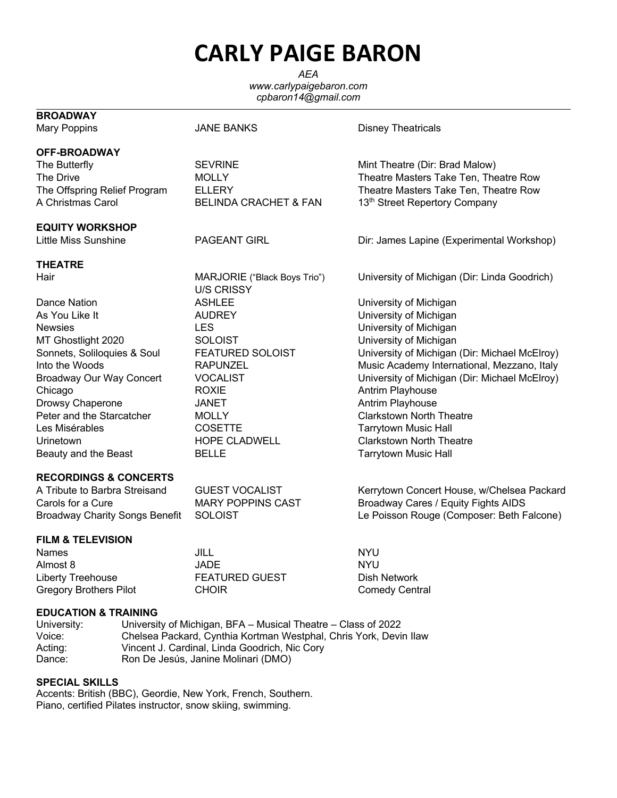## **CARLY PAIGE BARON**

*AEA www.carlypaigebaron.com cpbaron14@gmail.com*

### **BROADWAY**  Mary Poppins **Contains Container State Contains A Series And Alexander Contains Contains Contains Contains A Disney Theatricals OFF-BROADWAY** The Butterfly **SEVRINE** SEVRINE Mint Theatre (Dir: Brad Malow) The Drive **The Drive Theatre Masters Take Ten, Theatre Row** Theatre Masters Take Ten, Theatre Row The Offspring Relief Program ELLERY Theatre Masters Take Ten, Theatre Row A Christmas Carol **BELINDA CRACHET & FAN** 13<sup>th</sup> Street Repertory Company **EQUITY WORKSHOP** Little Miss Sunshine **PAGEANT GIRL** Dir: James Lapine (Experimental Workshop) **THEATRE** Hair **MARJORIE** ("Black Boys Trio") University of Michigan (Dir: Linda Goodrich) U/S CRISSY Dance Nation **ASHLEE** ASHLEE University of Michigan As You Like It **AUDREY** AUDREY **University of Michigan** Newsies **Newsies** LES **LES** University of Michigan MT Ghostlight 2020 SOLOIST **University of Michigan** Sonnets, Soliloquies & Soul FEATURED SOLOIST University of Michigan (Dir: Michael McElroy) Into the Woods **RAPUNZEL** RAPUNZEL Music Academy International, Mezzano, Italy Broadway Our Way Concert VOCALIST University of Michigan (Dir: Michael McElroy) Chicago **ROXIE** ROXIE Antrim Playhouse Drowsy Chaperone **Chaperone** JANET **Antrim Playhouse Antrim Playhouse** Peter and the Starcatcher MOLLY Clarkstown North Theatre Les Misérables **COSETTE** Tarrytown Music Hall Urinetown **Example 2 HOPE CLADWELL** Clarkstown North Theatre Beauty and the Beast **BELLE Tarrytown Music Hall RECORDINGS & CONCERTS** A Tribute to Barbra Streisand GUEST VOCALIST Kerrytown Concert House, w/Chelsea Packard Carols for a Cure **MARY POPPINS CAST** Broadway Cares / Equity Fights AIDS Broadway Charity Songs Benefit SOLOIST Le Poisson Rouge (Composer: Beth Falcone)

#### **FILM & TELEVISION**

| <b>Names</b>                  | JILL                  | <b>NYU</b>            |
|-------------------------------|-----------------------|-----------------------|
| Almost 8                      | JADE                  | <b>NYU</b>            |
| Liberty Treehouse             | <b>FEATURED GUEST</b> | Dish Network          |
| <b>Gregory Brothers Pilot</b> | <b>CHOIR</b>          | <b>Comedy Central</b> |

#### **EDUCATION & TRAINING**

| University: | University of Michigan, BFA – Musical Theatre – Class of 2022     |
|-------------|-------------------------------------------------------------------|
| Voice:      | Chelsea Packard, Cynthia Kortman Westphal, Chris York, Devin Ilaw |
| Actina:     | Vincent J. Cardinal, Linda Goodrich, Nic Cory                     |
| Dance:      | Ron De Jesús, Janine Molinari (DMO)                               |

#### **SPECIAL SKILLS**

Accents: British (BBC), Geordie, New York, French, Southern. Piano, certified Pilates instructor, snow skiing, swimming.